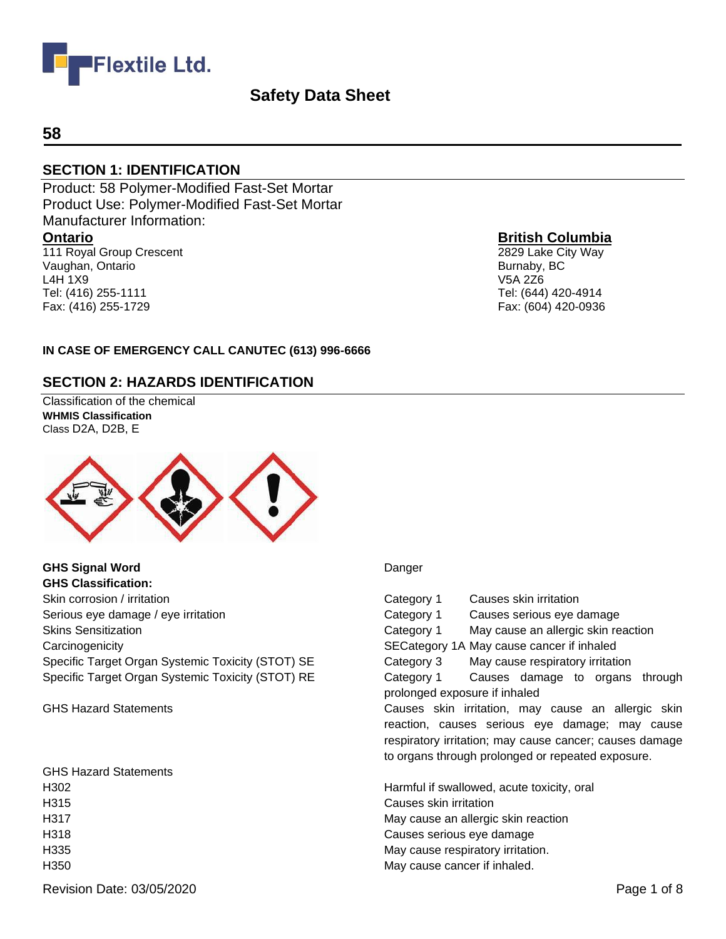

#### **58**

#### **SECTION 1: IDENTIFICATION**

Product: 58 Polymer-Modified Fast-Set Mortar Product Use: Polymer-Modified Fast-Set Mortar Manufacturer Information: **Ontario** 111 Royal Group Crescent

Vaughan, Ontario L4H 1X9 Tel: (416) 255-1111 Fax: (416) 255-1729

#### **British Columbia**

2829 Lake City Way Burnaby, BC V5A 2Z6 Tel: (644) 420-4914 Fax: (604) 420-0936

#### **IN CASE OF EMERGENCY CALL CANUTEC (613) 996-6666**

#### **SECTION 2: HAZARDS IDENTIFICATION**

Classification of the chemical **WHMIS Classification**  Class D2A, D2B, E



**GHS Signal Word** Danger **GHS Classification:** Skin corrosion / irritation Category 1 Causes skin irritation Category 1 Causes skin irritation Serious eye damage / eye irritation **Causes Serious exercises** Category 1 Causes serious eye damage Carcinogenicity SECategory 1A May cause cancer if inhaled Specific Target Organ Systemic Toxicity (STOT) SE Category 3 May cause respiratory irritation

GHS Hazard Statements H315 Causes skin irritation H335 May cause respiratory irritation. H350 May cause cancer if inhaled.

Skins Sensitization Category 1 May cause an allergic skin reaction Specific Target Organ Systemic Toxicity (STOT) RE Category 1 Causes damage to organs through prolonged exposure if inhaled GHS Hazard Statements **Causes Skin irritation, may cause an allergic skin** irretation, may cause an allergic skin reaction, causes serious eye damage; may cause respiratory irritation; may cause cancer; causes damage to organs through prolonged or repeated exposure. H302 Harmful if swallowed, acute toxicity, oral H317 May cause an allergic skin reaction H318 Causes serious eye damage

Revision Date: 03/05/2020 **Page 1 of 8** Page 1 of 8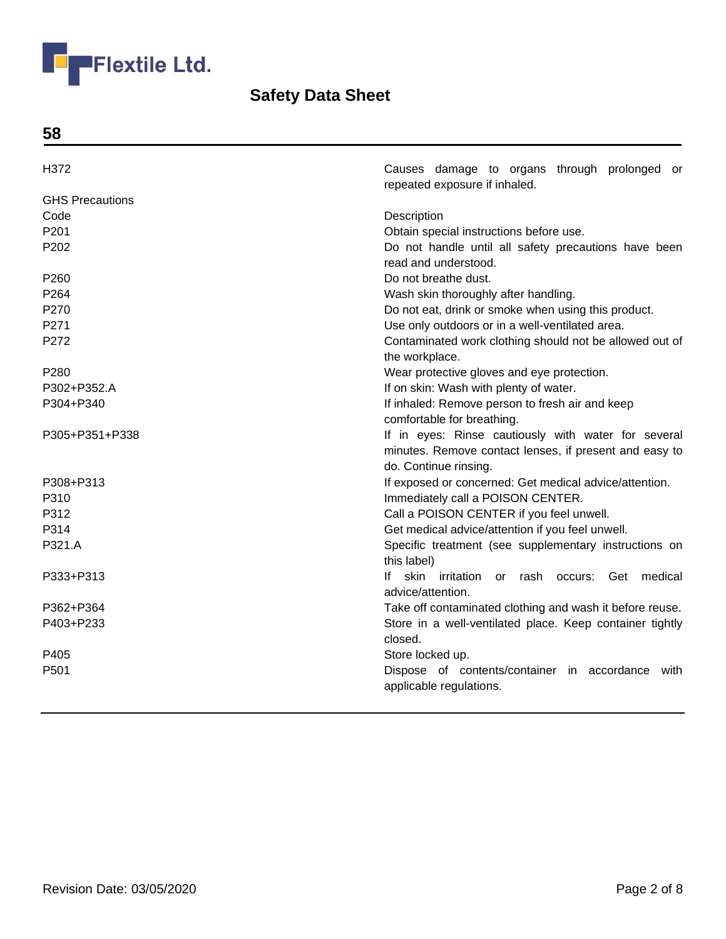

**58**

| H372                   | Causes damage to organs through prolonged or<br>repeated exposure if inhaled. |
|------------------------|-------------------------------------------------------------------------------|
| <b>GHS Precautions</b> |                                                                               |
| Code                   | Description                                                                   |
| P201                   | Obtain special instructions before use.                                       |
| P <sub>202</sub>       | Do not handle until all safety precautions have been                          |
|                        | read and understood.                                                          |
| P260                   | Do not breathe dust.                                                          |
| P264                   | Wash skin thoroughly after handling.                                          |
| P270                   | Do not eat, drink or smoke when using this product.                           |
| P271                   | Use only outdoors or in a well-ventilated area.                               |
| P272                   | Contaminated work clothing should not be allowed out of                       |
|                        | the workplace.                                                                |
| P <sub>280</sub>       | Wear protective gloves and eye protection.                                    |
| P302+P352.A            | If on skin: Wash with plenty of water.                                        |
| P304+P340              | If inhaled: Remove person to fresh air and keep                               |
|                        | comfortable for breathing.                                                    |
| P305+P351+P338         | If in eyes: Rinse cautiously with water for several                           |
|                        | minutes. Remove contact lenses, if present and easy to                        |
|                        | do. Continue rinsing.                                                         |
| P308+P313              | If exposed or concerned: Get medical advice/attention.                        |
| P310                   | Immediately call a POISON CENTER.                                             |
| P312                   | Call a POISON CENTER if you feel unwell.                                      |
| P314                   | Get medical advice/attention if you feel unwell.                              |
| P321.A                 | Specific treatment (see supplementary instructions on                         |
|                        | this label)                                                                   |
| P333+P313              | skin irritation or rash occurs: Get medical<br>lf.                            |
|                        | advice/attention.                                                             |
| P362+P364              | Take off contaminated clothing and wash it before reuse.                      |
| P403+P233              | Store in a well-ventilated place. Keep container tightly                      |
|                        | closed.                                                                       |
| P405                   | Store locked up.                                                              |
| P501                   | Dispose of contents/container in accordance<br>with                           |
|                        | applicable regulations.                                                       |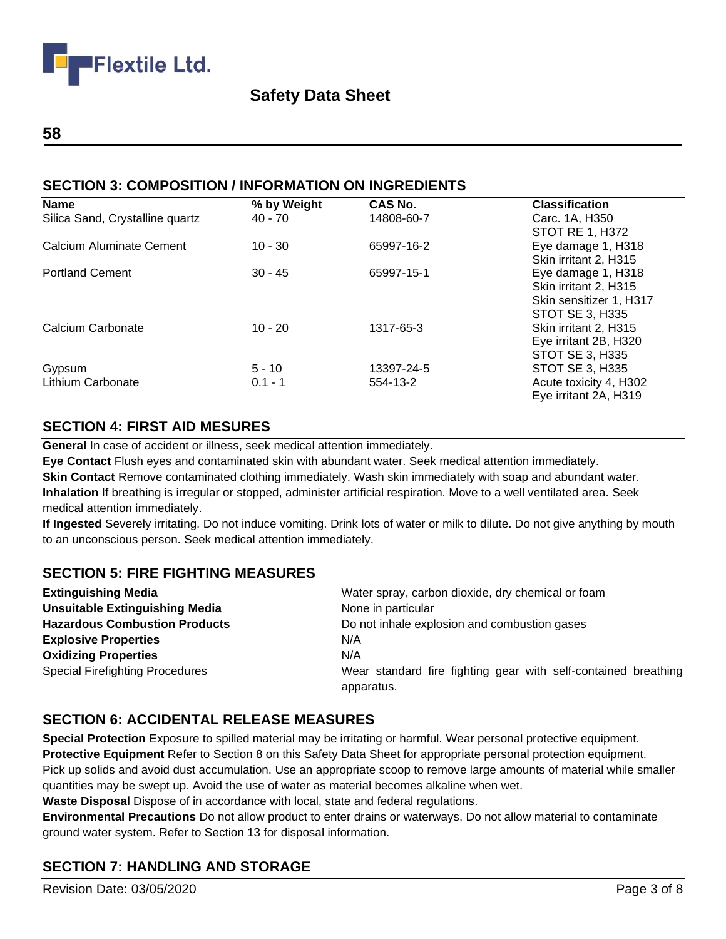

#### **58**

## **SECTION 3: COMPOSITION / INFORMATION ON INGREDIENTS**

| Name                            | % by Weight | <b>CAS No.</b> | <b>Classification</b>   |
|---------------------------------|-------------|----------------|-------------------------|
| Silica Sand, Crystalline quartz | 40 - 70     | 14808-60-7     | Carc. 1A, H350          |
|                                 |             |                | <b>STOT RE 1, H372</b>  |
| Calcium Aluminate Cement        | $10 - 30$   | 65997-16-2     | Eye damage 1, H318      |
|                                 |             |                | Skin irritant 2, H315   |
| <b>Portland Cement</b>          | $30 - 45$   | 65997-15-1     | Eye damage 1, H318      |
|                                 |             |                | Skin irritant 2, H315   |
|                                 |             |                | Skin sensitizer 1, H317 |
|                                 |             |                | STOT SE 3, H335         |
| Calcium Carbonate               | $10 - 20$   | 1317-65-3      | Skin irritant 2, H315   |
|                                 |             |                | Eye irritant 2B, H320   |
|                                 |             |                | STOT SE 3, H335         |
| Gypsum                          | $5 - 10$    | 13397-24-5     | <b>STOT SE 3, H335</b>  |
| <b>Lithium Carbonate</b>        | $0.1 - 1$   | 554-13-2       | Acute toxicity 4, H302  |
|                                 |             |                | Eye irritant 2A, H319   |

## **SECTION 4: FIRST AID MESURES**

**General** In case of accident or illness, seek medical attention immediately.

**Eye Contact** Flush eyes and contaminated skin with abundant water. Seek medical attention immediately. **Skin Contact** Remove contaminated clothing immediately. Wash skin immediately with soap and abundant water. **Inhalation** If breathing is irregular or stopped, administer artificial respiration. Move to a well ventilated area. Seek medical attention immediately.

**If Ingested** Severely irritating. Do not induce vomiting. Drink lots of water or milk to dilute. Do not give anything by mouth to an unconscious person. Seek medical attention immediately.

## **SECTION 5: FIRE FIGHTING MEASURES**

| <b>Extinguishing Media</b>             | Water spray, carbon dioxide, dry chemical or foam              |
|----------------------------------------|----------------------------------------------------------------|
| <b>Unsuitable Extinguishing Media</b>  | None in particular                                             |
| <b>Hazardous Combustion Products</b>   | Do not inhale explosion and combustion gases                   |
| <b>Explosive Properties</b>            | N/A                                                            |
| <b>Oxidizing Properties</b>            | N/A                                                            |
| <b>Special Firefighting Procedures</b> | Wear standard fire fighting gear with self-contained breathing |
|                                        | apparatus.                                                     |

#### **SECTION 6: ACCIDENTAL RELEASE MEASURES**

**Special Protection** Exposure to spilled material may be irritating or harmful. Wear personal protective equipment. **Protective Equipment** Refer to Section 8 on this Safety Data Sheet for appropriate personal protection equipment. Pick up solids and avoid dust accumulation. Use an appropriate scoop to remove large amounts of material while smaller quantities may be swept up. Avoid the use of water as material becomes alkaline when wet.

**Waste Disposal** Dispose of in accordance with local, state and federal regulations.

**Environmental Precautions** Do not allow product to enter drains or waterways. Do not allow material to contaminate ground water system. Refer to Section 13 for disposal information.

## **SECTION 7: HANDLING AND STORAGE**

Revision Date: 03/05/2020 **Page 3 of 8**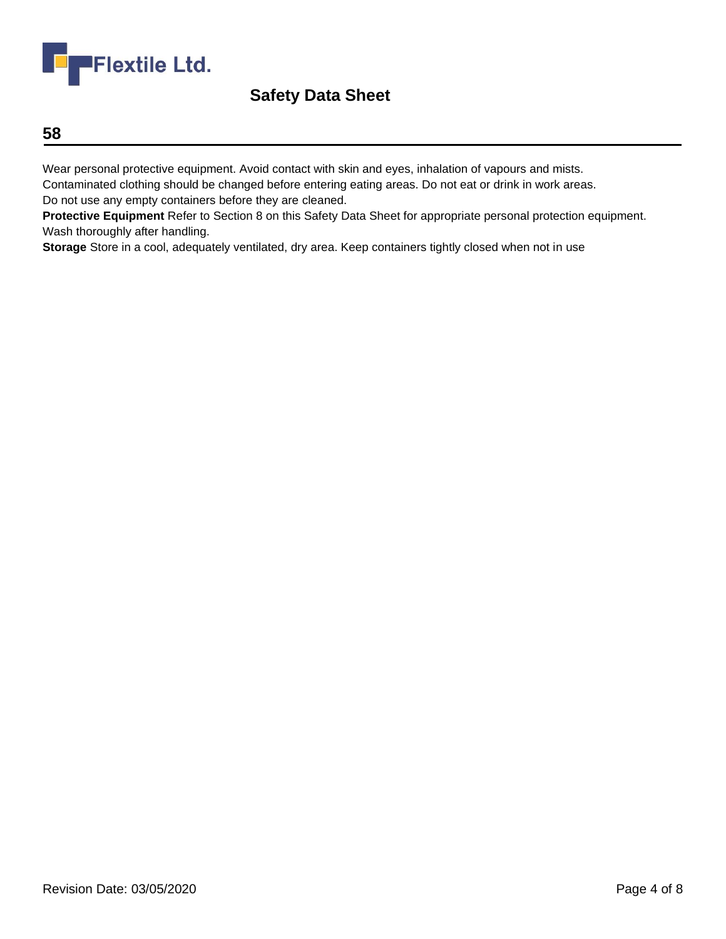

### **58**

Wear personal protective equipment. Avoid contact with skin and eyes, inhalation of vapours and mists.

Contaminated clothing should be changed before entering eating areas. Do not eat or drink in work areas. Do not use any empty containers before they are cleaned.

**Protective Equipment** Refer to Section 8 on this Safety Data Sheet for appropriate personal protection equipment. Wash thoroughly after handling.

**Storage** Store in a cool, adequately ventilated, dry area. Keep containers tightly closed when not in use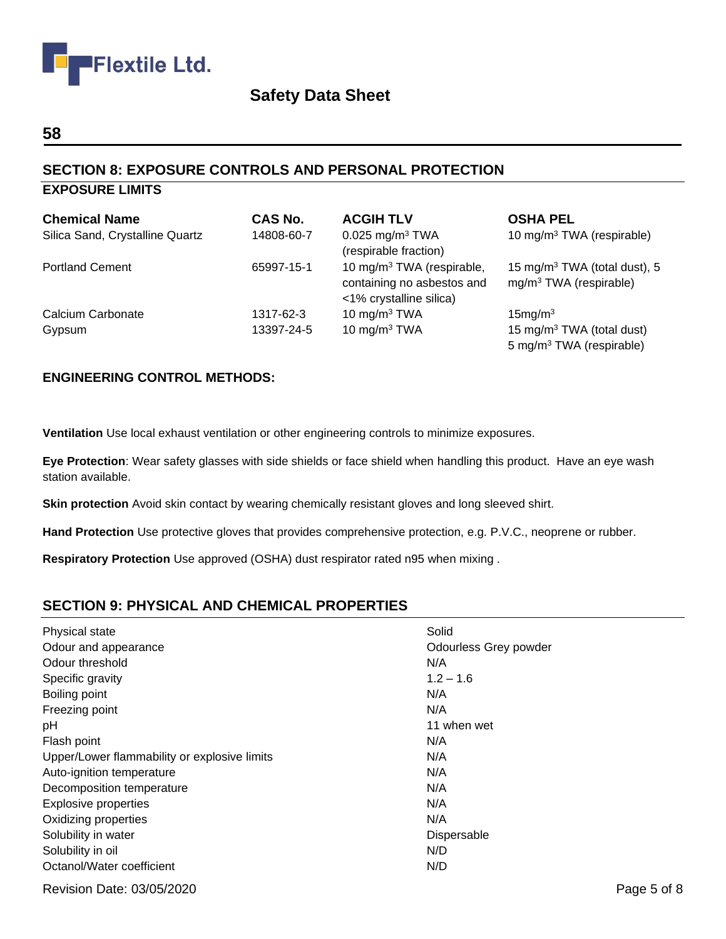

#### **58**

## **SECTION 8: EXPOSURE CONTROLS AND PERSONAL PROTECTION**

### **EXPOSURE LIMITS**

| <b>Chemical Name</b>            | <b>CAS No.</b> | <b>ACGIH TLV</b>                                                                               | <b>OSHA PEL</b>                                                               |
|---------------------------------|----------------|------------------------------------------------------------------------------------------------|-------------------------------------------------------------------------------|
| Silica Sand, Crystalline Quartz | 14808-60-7     | $0.025$ mg/m <sup>3</sup> TWA<br>(respirable fraction)                                         | 10 mg/m <sup>3</sup> TWA (respirable)                                         |
| <b>Portland Cement</b>          | 65997-15-1     | 10 mg/m <sup>3</sup> TWA (respirable,<br>containing no asbestos and<br><1% crystalline silica) | 15 mg/m <sup>3</sup> TWA (total dust), 5<br>$mg/m3 TWA$ (respirable)          |
| Calcium Carbonate               | 1317-62-3      | 10 mg/m $3$ TWA                                                                                | 15mg/m <sup>3</sup>                                                           |
| Gypsum                          | 13397-24-5     | 10 mg/m $3$ TWA                                                                                | 15 mg/m <sup>3</sup> TWA (total dust)<br>5 mg/m <sup>3</sup> TWA (respirable) |

#### **ENGINEERING CONTROL METHODS:**

**Ventilation** Use local exhaust ventilation or other engineering controls to minimize exposures.

**Eye Protection**: Wear safety glasses with side shields or face shield when handling this product. Have an eye wash station available.

**Skin protection** Avoid skin contact by wearing chemically resistant gloves and long sleeved shirt.

**Hand Protection** Use protective gloves that provides comprehensive protection, e.g. P.V.C., neoprene or rubber.

**Respiratory Protection** Use approved (OSHA) dust respirator rated n95 when mixing .

#### **SECTION 9: PHYSICAL AND CHEMICAL PROPERTIES**

| Physical state                               | Solid                        |
|----------------------------------------------|------------------------------|
| Odour and appearance                         | <b>Odourless Grey powder</b> |
| Odour threshold                              | N/A                          |
| Specific gravity                             | $1.2 - 1.6$                  |
| Boiling point                                | N/A                          |
| Freezing point                               | N/A                          |
| рH                                           | 11 when wet                  |
| Flash point                                  | N/A                          |
| Upper/Lower flammability or explosive limits | N/A                          |
| Auto-ignition temperature                    | N/A                          |
| Decomposition temperature                    | N/A                          |
| <b>Explosive properties</b>                  | N/A                          |
| Oxidizing properties                         | N/A                          |
| Solubility in water                          | Dispersable                  |
| Solubility in oil                            | N/D                          |
| Octanol/Water coefficient                    | N/D                          |

Revision Date: 03/05/2020 **Page 5 of 8**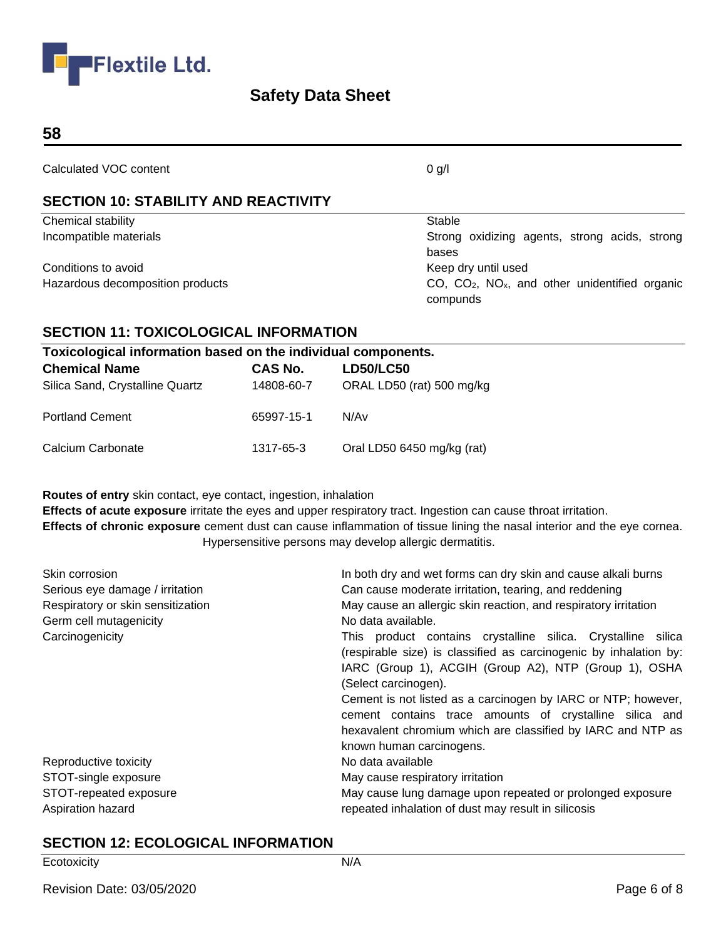

#### **58**

Calculated VOC content 0 g/l

## **SECTION 10: STABILITY AND REACTIVITY**

| Chemical stability               | Stable                                                                      |
|----------------------------------|-----------------------------------------------------------------------------|
| Incompatible materials           | Strong oxidizing agents, strong acids, strong                               |
|                                  | bases                                                                       |
| Conditions to avoid              | Keep dry until used                                                         |
| Hazardous decomposition products | $CO$ , $CO2$ , NO <sub>x</sub> , and other unidentified organic<br>compunds |

## **SECTION 11: TOXICOLOGICAL INFORMATION**

| Toxicological information based on the individual components. |            |                            |
|---------------------------------------------------------------|------------|----------------------------|
| <b>Chemical Name</b>                                          | CAS No.    | <b>LD50/LC50</b>           |
| Silica Sand, Crystalline Quartz                               | 14808-60-7 | ORAL LD50 (rat) 500 mg/kg  |
| <b>Portland Cement</b>                                        | 65997-15-1 | N/Av                       |
| Calcium Carbonate                                             | 1317-65-3  | Oral LD50 6450 mg/kg (rat) |

**Routes of entry** skin contact, eye contact, ingestion, inhalation

**Effects of acute exposure** irritate the eyes and upper respiratory tract. Ingestion can cause throat irritation. **Effects of chronic exposure** cement dust can cause inflammation of tissue lining the nasal interior and the eye cornea. Hypersensitive persons may develop allergic dermatitis.

| Skin corrosion                    | In both dry and wet forms can dry skin and cause alkali burns                                                                                                                                                                                                                                                                                  |  |
|-----------------------------------|------------------------------------------------------------------------------------------------------------------------------------------------------------------------------------------------------------------------------------------------------------------------------------------------------------------------------------------------|--|
| Serious eye damage / irritation   | Can cause moderate irritation, tearing, and reddening                                                                                                                                                                                                                                                                                          |  |
| Respiratory or skin sensitization | May cause an allergic skin reaction, and respiratory irritation                                                                                                                                                                                                                                                                                |  |
| Germ cell mutagenicity            | No data available.                                                                                                                                                                                                                                                                                                                             |  |
| Carcinogenicity                   | This product contains crystalline silica. Crystalline silica<br>(respirable size) is classified as carcinogenic by inhalation by:<br>IARC (Group 1), ACGIH (Group A2), NTP (Group 1), OSHA<br>(Select carcinogen).<br>Cement is not listed as a carcinogen by IARC or NTP; however,<br>cement contains trace amounts of crystalline silica and |  |
|                                   | hexavalent chromium which are classified by IARC and NTP as<br>known human carcinogens.                                                                                                                                                                                                                                                        |  |
| Reproductive toxicity             | No data available                                                                                                                                                                                                                                                                                                                              |  |
| STOT-single exposure              | May cause respiratory irritation                                                                                                                                                                                                                                                                                                               |  |
| STOT-repeated exposure            | May cause lung damage upon repeated or prolonged exposure                                                                                                                                                                                                                                                                                      |  |
| Aspiration hazard                 | repeated inhalation of dust may result in silicosis                                                                                                                                                                                                                                                                                            |  |

#### **SECTION 12: ECOLOGICAL INFORMATION**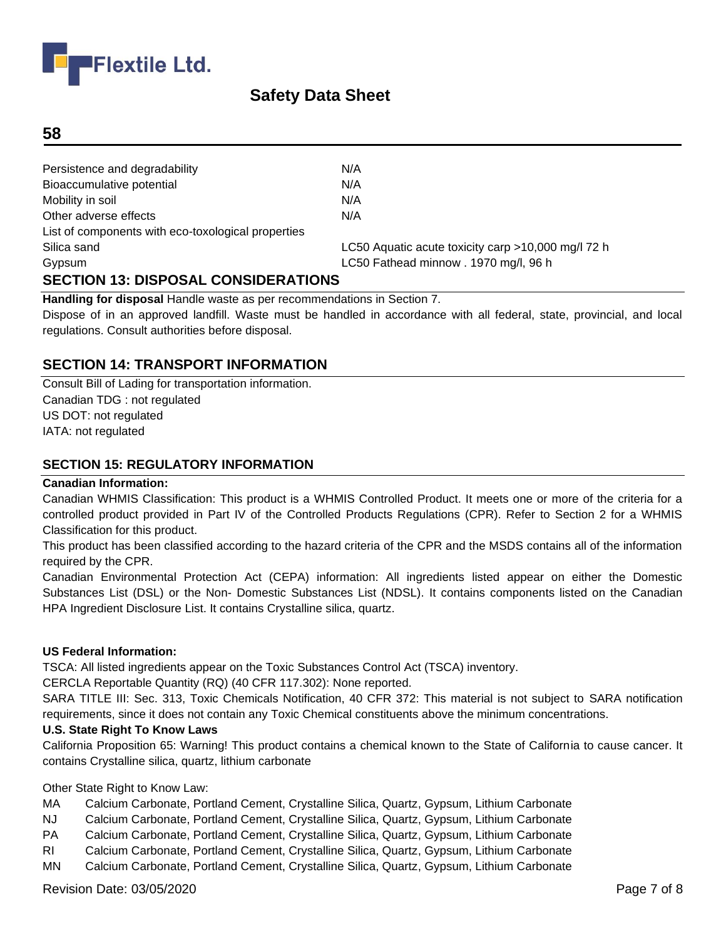

#### **58**

| Persistence and degradability                      | N/A                                                |
|----------------------------------------------------|----------------------------------------------------|
| Bioaccumulative potential                          | N/A                                                |
| Mobility in soil                                   | N/A                                                |
| Other adverse effects                              | N/A                                                |
| List of components with eco-toxological properties |                                                    |
| Silica sand                                        | LC50 Aquatic acute toxicity carp >10,000 mg/l 72 h |
| Gypsum                                             | LC50 Fathead minnow . 1970 mg/l, 96 h              |
| <b>SECTION 13: DISPOSAL CONSIDERATIONS</b>         |                                                    |

**Handling for disposal** Handle waste as per recommendations in Section 7.

Dispose of in an approved landfill. Waste must be handled in accordance with all federal, state, provincial, and local regulations. Consult authorities before disposal.

#### **SECTION 14: TRANSPORT INFORMATION**

Consult Bill of Lading for transportation information. Canadian TDG : not regulated US DOT: not regulated IATA: not regulated

#### **SECTION 15: REGULATORY INFORMATION**

#### **Canadian Information:**

Canadian WHMIS Classification: This product is a WHMIS Controlled Product. It meets one or more of the criteria for a controlled product provided in Part IV of the Controlled Products Regulations (CPR). Refer to Section 2 for a WHMIS Classification for this product.

This product has been classified according to the hazard criteria of the CPR and the MSDS contains all of the information required by the CPR.

Canadian Environmental Protection Act (CEPA) information: All ingredients listed appear on either the Domestic Substances List (DSL) or the Non- Domestic Substances List (NDSL). It contains components listed on the Canadian HPA Ingredient Disclosure List. It contains Crystalline silica, quartz.

#### **US Federal Information:**

TSCA: All listed ingredients appear on the Toxic Substances Control Act (TSCA) inventory.

CERCLA Reportable Quantity (RQ) (40 CFR 117.302): None reported.

SARA TITLE III: Sec. 313, Toxic Chemicals Notification, 40 CFR 372: This material is not subject to SARA notification requirements, since it does not contain any Toxic Chemical constituents above the minimum concentrations.

#### **U.S. State Right To Know Laws**

California Proposition 65: Warning! This product contains a chemical known to the State of California to cause cancer. It contains Crystalline silica, quartz, lithium carbonate

Other State Right to Know Law:

- MA Calcium Carbonate, Portland Cement, Crystalline Silica, Quartz, Gypsum, Lithium Carbonate
- NJ Calcium Carbonate, Portland Cement, Crystalline Silica, Quartz, Gypsum, Lithium Carbonate
- PA Calcium Carbonate, Portland Cement, Crystalline Silica, Quartz, Gypsum, Lithium Carbonate
- RI Calcium Carbonate, Portland Cement, Crystalline Silica, Quartz, Gypsum, Lithium Carbonate
- MN Calcium Carbonate, Portland Cement, Crystalline Silica, Quartz, Gypsum, Lithium Carbonate

Revision Date: 03/05/2020 **Page 7 of 8**